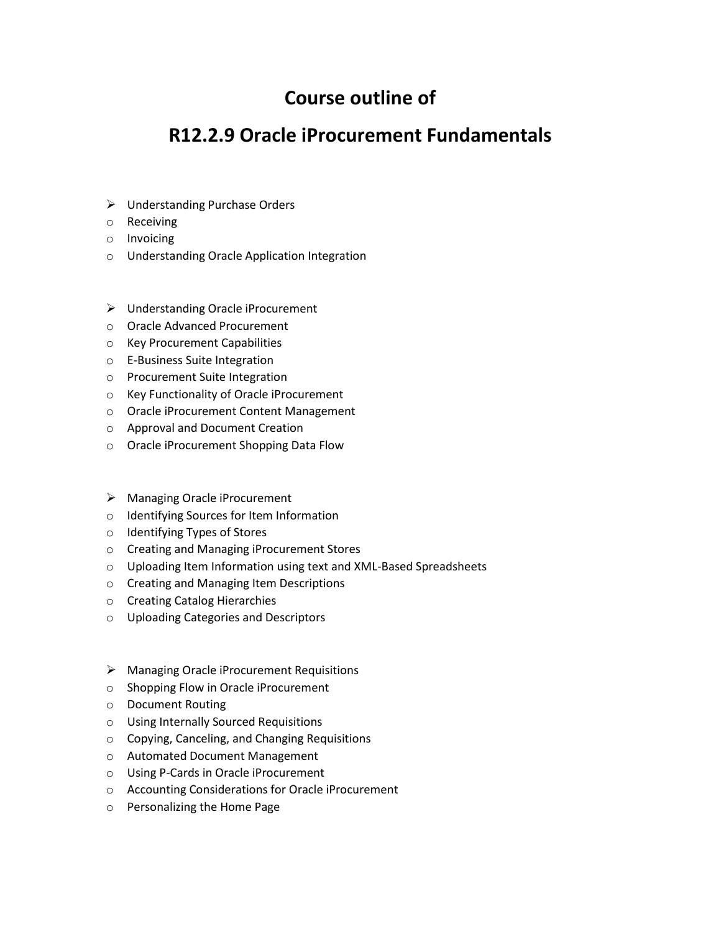## **Course outline of**

## **R12.2.9 Oracle iProcurement Fundamentals**

- Understanding Purchase Orders
- o Receiving
- o Invoicing
- o Understanding Oracle Application Integration
- Understanding Oracle iProcurement
- o Oracle Advanced Procurement
- o Key Procurement Capabilities
- o E-Business Suite Integration
- o Procurement Suite Integration
- o Key Functionality of Oracle iProcurement
- o Oracle iProcurement Content Management
- o Approval and Document Creation
- o Oracle iProcurement Shopping Data Flow
- Managing Oracle iProcurement
- o Identifying Sources for Item Information
- o Identifying Types of Stores
- o Creating and Managing iProcurement Stores
- o Uploading Item Information using text and XML-Based Spreadsheets
- o Creating and Managing Item Descriptions
- o Creating Catalog Hierarchies
- o Uploading Categories and Descriptors
- Managing Oracle iProcurement Requisitions
- o Shopping Flow in Oracle iProcurement
- o Document Routing
- o Using Internally Sourced Requisitions
- o Copying, Canceling, and Changing Requisitions
- o Automated Document Management
- o Using P-Cards in Oracle iProcurement
- o Accounting Considerations for Oracle iProcurement
- o Personalizing the Home Page